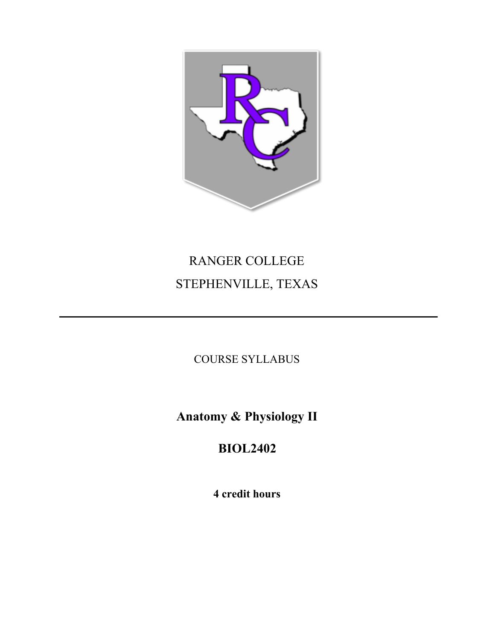

# RANGER COLLEGE STEPHENVILLE, TEXAS

COURSE SYLLABUS

**Anatomy & Physiology II**

**BIOL2402**

**4 credit hours**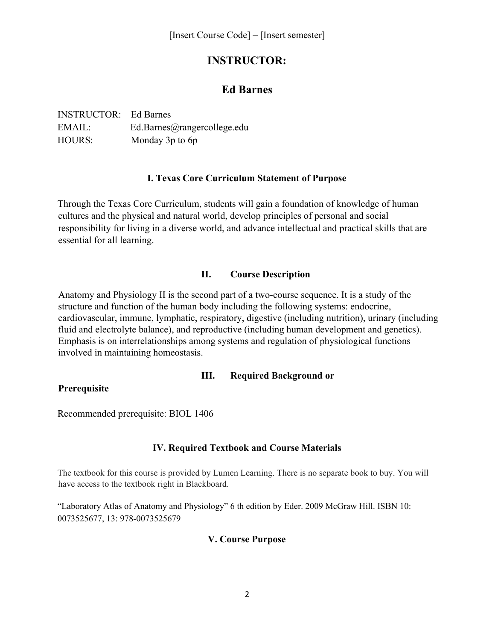# **INSTRUCTOR:**

## **Ed Barnes**

| <b>INSTRUCTOR:</b> Ed Barnes |                             |
|------------------------------|-----------------------------|
| EMAIL:                       | Ed.Barnes@rangercollege.edu |
| <b>HOURS:</b>                | Monday 3p to 6p             |

## **I. Texas Core Curriculum Statement of Purpose**

Through the Texas Core Curriculum, students will gain a foundation of knowledge of human cultures and the physical and natural world, develop principles of personal and social responsibility for living in a diverse world, and advance intellectual and practical skills that are essential for all learning.

## **II. Course Description**

Anatomy and Physiology II is the second part of a two-course sequence. It is a study of the structure and function of the human body including the following systems: endocrine, cardiovascular, immune, lymphatic, respiratory, digestive (including nutrition), urinary (including fluid and electrolyte balance), and reproductive (including human development and genetics). Emphasis is on interrelationships among systems and regulation of physiological functions involved in maintaining homeostasis.

## **III. Required Background or**

## **Prerequisite**

Recommended prerequisite: BIOL 1406

## **IV. Required Textbook and Course Materials**

The textbook for this course is provided by Lumen Learning. There is no separate book to buy. You will have access to the textbook right in Blackboard.

"Laboratory Atlas of Anatomy and Physiology" 6 th edition by Eder. 2009 McGraw Hill. ISBN 10: 0073525677, 13: 978-0073525679

## **V. Course Purpose**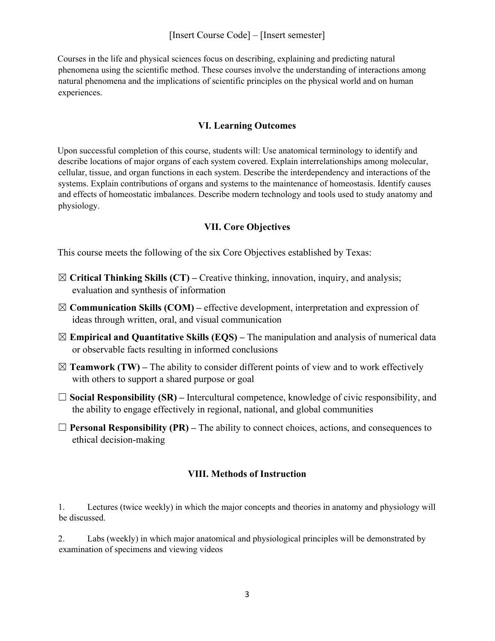#### [Insert Course Code] – [Insert semester]

Courses in the life and physical sciences focus on describing, explaining and predicting natural phenomena using the scientific method. These courses involve the understanding of interactions among natural phenomena and the implications of scientific principles on the physical world and on human experiences.

#### **VI. Learning Outcomes**

Upon successful completion of this course, students will: Use anatomical terminology to identify and describe locations of major organs of each system covered. Explain interrelationships among molecular, cellular, tissue, and organ functions in each system. Describe the interdependency and interactions of the systems. Explain contributions of organs and systems to the maintenance of homeostasis. Identify causes and effects of homeostatic imbalances. Describe modern technology and tools used to study anatomy and physiology.

#### **VII. Core Objectives**

This course meets the following of the six Core Objectives established by Texas:

- ☒ **Critical Thinking Skills (CT)** Creative thinking, innovation, inquiry, and analysis; evaluation and synthesis of information
- ☒**Communication Skills (COM)** effective development, interpretation and expression of ideas through written, oral, and visual communication
- ☒**Empirical and Quantitative Skills (EQS)** The manipulation and analysis of numerical data or observable facts resulting in informed conclusions
- $\boxtimes$  **Teamwork (TW)** The ability to consider different points of view and to work effectively with others to support a shared purpose or goal
- ☐ **Social Responsibility (SR)** Intercultural competence, knowledge of civic responsibility, and the ability to engage effectively in regional, national, and global communities
- ☐ **Personal Responsibility (PR)** The ability to connect choices, actions, and consequences to ethical decision-making

#### **VIII. Methods of Instruction**

1. Lectures (twice weekly) in which the major concepts and theories in anatomy and physiology will be discussed.

2. Labs (weekly) in which major anatomical and physiological principles will be demonstrated by examination of specimens and viewing videos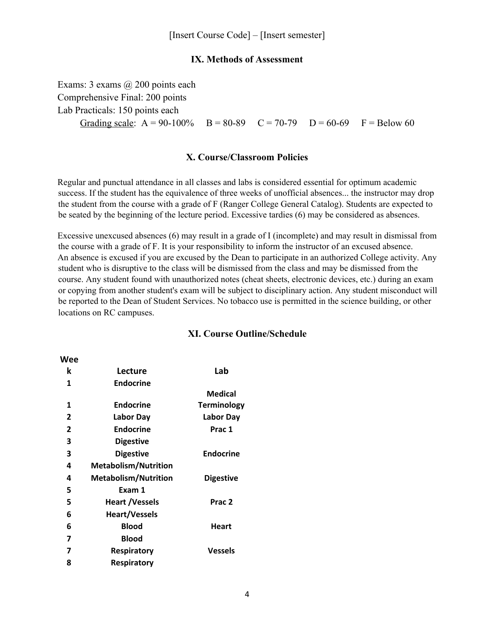#### **IX. Methods of Assessment**

Exams: 3 exams @ 200 points each Comprehensive Final: 200 points Lab Practicals: 150 points each Grading scale:  $A = 90-100\%$  B = 80-89 C = 70-79 D = 60-69 F = Below 60

#### **X. Course/Classroom Policies**

Regular and punctual attendance in all classes and labs is considered essential for optimum academic success. If the student has the equivalence of three weeks of unofficial absences... the instructor may drop the student from the course with a grade of F (Ranger College General Catalog). Students are expected to be seated by the beginning of the lecture period. Excessive tardies (6) may be considered as absences.

Excessive unexcused absences (6) may result in a grade of I (incomplete) and may result in dismissal from the course with a grade of F. It is your responsibility to inform the instructor of an excused absence. An absence is excused if you are excused by the Dean to participate in an authorized College activity. Any student who is disruptive to the class will be dismissed from the class and may be dismissed from the course. Any student found with unauthorized notes (cheat sheets, electronic devices, etc.) during an exam or copying from another student's exam will be subject to disciplinary action. Any student misconduct will be reported to the Dean of Student Services. No tobacco use is permitted in the science building, or other locations on RC campuses.

| k            | Lecture                     | Lab                |
|--------------|-----------------------------|--------------------|
| 1            | <b>Endocrine</b>            |                    |
|              |                             | <b>Medical</b>     |
| 1            | <b>Endocrine</b>            | <b>Terminology</b> |
| 2            | Labor Day                   | <b>Labor Day</b>   |
| $\mathbf{2}$ | <b>Endocrine</b>            | Prac 1             |
| 3            | <b>Digestive</b>            |                    |
| 3            | <b>Digestive</b>            | <b>Endocrine</b>   |
| 4            | <b>Metabolism/Nutrition</b> |                    |
| 4            | <b>Metabolism/Nutrition</b> | <b>Digestive</b>   |
| 5            | Exam 1                      |                    |
| 5            | <b>Heart /Vessels</b>       | Prac <sub>2</sub>  |
| 6            | <b>Heart/Vessels</b>        |                    |
| 6            | <b>Blood</b>                | Heart              |
| 7            | <b>Blood</b>                |                    |
| 7            | <b>Respiratory</b>          | Vessels            |
| 8            | Respiratory                 |                    |
|              |                             |                    |

**Wee**

#### **XI. Course Outline/Schedule**